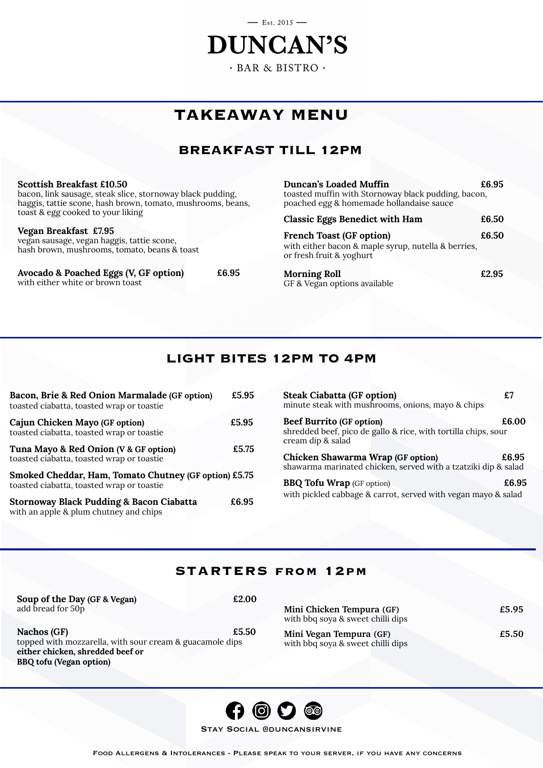# $-$  Est. 2015  $-$ **DUNCAN'S**  $-BAR & BISTRO$ .

## **TAKEAWAY MENU**

## **BREAKFAST TILL 12PM**

**Scottish Breakfast £10.50** bacon, link sausage, steak slice, stornoway black pudding, haggis, tattie scone, hash brown, tomato, mushrooms, beans, toast & egg cooked to your liking

## **Vegan Breakfast £7.95**

vegan sausage, vegan haggis, tattie scone, hash brown, mushrooms, tomato, beans & toast

**Avocado & Poached Eggs (V, GF option) £6.95** with either white or brown toast

**Duncan's Loaded Muffin**  $£6.95$ toasted muffin with Stornoway black pudding, bacon, poached egg & homemade hollandaise sauce

| <b>Classic Eggs Benedict with Ham</b> | £6.50 |
|---------------------------------------|-------|
|---------------------------------------|-------|

**French Toast (GF option)** £6.50 with either bacon & maple syrup, nutella & berries, or fresh fruit & yoghurt

**Morning Roll E2.95** GF & Vegan options available

## **LIGHT BITES 12PM TO 4PM**

| Bacon, Brie & Red Onion Marmalade (GF option)<br>toasted ciabatta, toasted wrap or toastie         | £5.95 |
|----------------------------------------------------------------------------------------------------|-------|
| Cajun Chicken Mayo (GF option)<br>toasted ciabatta, toasted wrap or toastie                        | £5.95 |
| Tuna Mayo & Red Onion (V & GF option)<br>toasted ciabatta, toasted wrap or toastie                 | £5.75 |
| Smoked Cheddar, Ham, Tomato Chutney (GF option) £5.75<br>toasted ciabatta, toasted wrap or toastie |       |
| <b>Stornoway Black Pudding &amp; Bacon Ciabatta</b><br>with an apple & plum chutney and chips      | £6.95 |

| <b>Steak Ciabatta (GF option)</b><br>minute steak with mushrooms, onions, mayo & chips                                 |       |
|------------------------------------------------------------------------------------------------------------------------|-------|
| <b>Beef Burrito (GF option)</b><br>shredded beef, pico de gallo & rice, with tortilla chips, sour<br>cream dip & salad | £6.00 |
| <b>Chicken Shawarma Wrap (GF option)</b><br>shawarma marinated chicken, served with a tzatziki dip & salad             | £6.95 |
| <b>BBQ Tofu Wrap</b> (GF option)<br>with pickled cabbage & carrot, served with vegan mayo & salad                      | £6.95 |

## **STARTERS from 12pm**

| Soup of the Day (GF & Vegan)<br>£2.00<br>add bread for 50p                                                           | Mini Chicken Tempura (GF)<br>with bbq soya & sweet chilli dips | £5.95 |
|----------------------------------------------------------------------------------------------------------------------|----------------------------------------------------------------|-------|
| £5.50<br>Nachos (GF)<br>topped with mozzarella, with sour cream & guacamole dips<br>either chicken, shredded beef or | Mini Vegan Tempura (GF)<br>with bbq soya & sweet chilli dips   | £5.50 |
| BBQ tofu (Vegan option)                                                                                              |                                                                |       |



Stay Social @duncansirvine